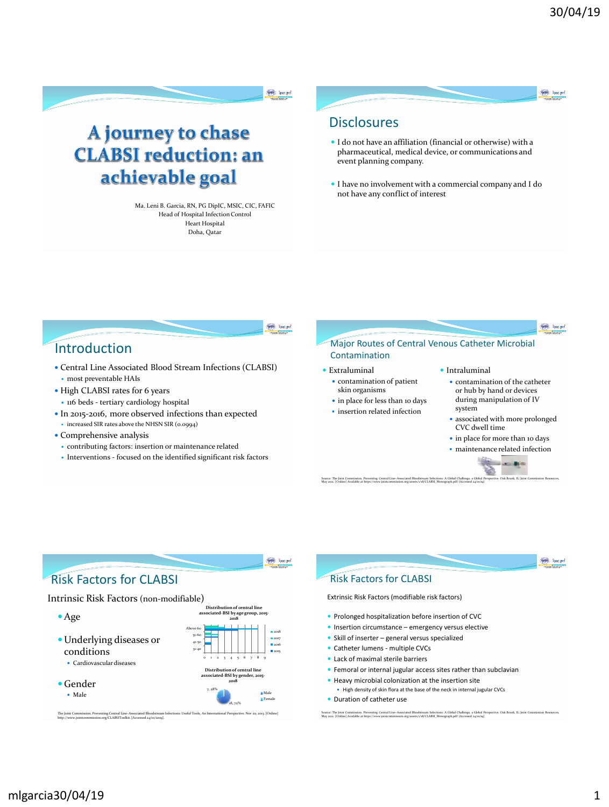**The hasps** 

A journey to chase **CLABSI** reduction: an achievable goal

> Ma. Leni B. Garcia, RN, PG DipIC, MSIC, CIC, FAFIC Head of Hospital Infection Control Heart Hospital Doha, Qatar

## **Disclosures**

- I do not have an affiliation (financial or otherwise) with a pharmaceutical, medical device, or communications and event planning company.
- I have no involvement with a commercial company and I do not have any conflict of interest

**THE Traced** 

**THE Trace pct** 

# Introduction

- Central Line Associated Blood Stream Infections (CLABSI) most preventable HAIs
- High CLABSI rates for 6 years 116 beds - tertiary cardiology hospital
- In 2015-2016, more observed infections than expected
- increased SIR rates above the NHSN SIR (0.0994)
- Comprehensive analysis
- contributing factors: insertion or maintenance related
- Interventions focused on the identified significant risk factors

The Joint Commission. Preventing Central Line–Associated Bloodstream Infections: Useful Tools, An International Perspective. Nov 20, 2013. [Online]<br>http://www.jointcommission.org/CLABSIToolkit. [Accessed 24/01/2019].

18, 72%

Female



**THE Traced** Risk Factors for CLABSI Risk Factors for CLABSI Intrinsic Risk Factors (non-modifiable) Extrinsic Risk Factors (modifiable risk factors) *<u>Distribution</u>* **associated-BSI by age group, 2015-** • Prolonged hospitalization before insertion of CVC **2018 Insertion circumstance – emergency versus elective** Above 6a 2018 • Skill of inserter – general versus specialized 51-60 Underlying diseases or 2017 41-50 **2016** • Catheter lumens - multiple CVCs conditions 31-40 2015 Lack of maximal sterile barriers Cardiovascular diseases 0 1 2 3 4 5 6 7 8 9 Femoral or internal jugular access sites rather than subclavian **Distribution of central line associated-BSI by gender, 2015-** • Heavy microbial colonization at the insertion site Gender **2018** High density of skin flora at the base of the neck in internal jugular CVCs 7, 28% Male Male

**Duration of catheter use** 

Source: The Joint Commission. Preventing Central Line-Associated Bloodstream Infections: A Global Regional Propertive. Oak Brook, IL: Joint Commission Resources,<br>May 2012. [Online] Available at https://www.jointcommission.

## mlgarcia30/04/19 1

Age

(THE Trac pot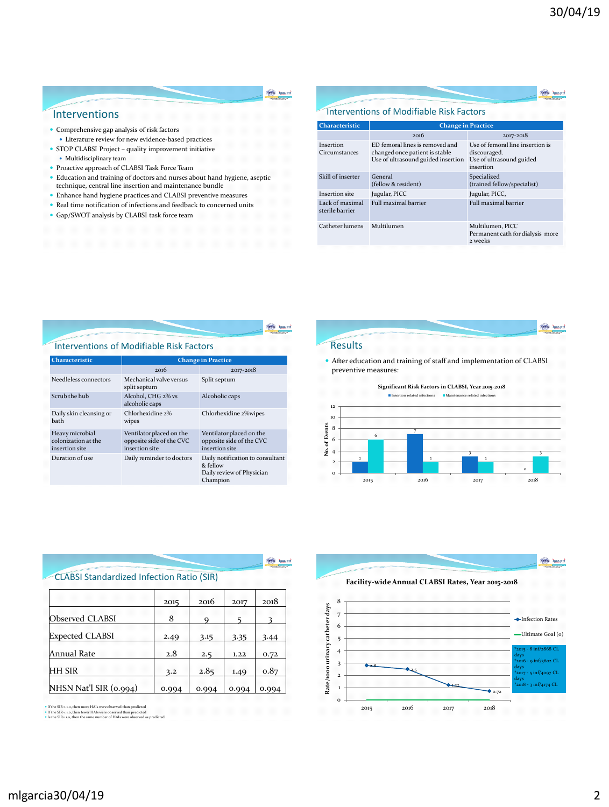**The hasps** 

**The hasps** 

#### **Red Traced**

#### Interventions

- Comprehensive gap analysis of risk factors
- Literature review for new evidence-based practices
- STOP CLABSI Project quality improvement initiative • Multidisciplinary team
- Proactive approach of CLABSI Task Force Team
- Education and training of doctors and nurses about hand hygiene, aseptic
- technique, central line insertion and maintenance bundle
- Enhance hand hygiene practices and CLABSI preventive measures
- $\bullet$  Real time notification of infections and feedback to concerned units
- Gap/SWOT analysis by CLABSI task force team

| <b>Characteristic</b>              | <b>Change in Practice</b>                                                                               |                                                                                           |  |  |
|------------------------------------|---------------------------------------------------------------------------------------------------------|-------------------------------------------------------------------------------------------|--|--|
|                                    | 2016                                                                                                    | 2017-2018                                                                                 |  |  |
| Insertion<br>Circumstances         | ED femoral lines is removed and<br>changed once patient is stable<br>Use of ultrasound guided insertion | Use of femoral line insertion is<br>discouraged.<br>Use of ultrasound guided<br>insertion |  |  |
| Skill of inserter                  | General<br>(fellow & resident)                                                                          | Specialized<br>(trained fellow/specialist)                                                |  |  |
| Insertion site                     | Jugular, PICC                                                                                           | Jugular, PICC,                                                                            |  |  |
| Lack of maximal<br>sterile barrier | <b>Full maximal barrier</b>                                                                             | <b>Full maximal barrier</b>                                                               |  |  |
| Catheter lumens                    | Multilumen                                                                                              | Multilumen, PICC<br>Permanent cath for dialysis more<br>2 weeks                           |  |  |

#### **Red Traced**

#### Interventions of Modifiable Risk Factors

| <b>Characteristic</b>                                    | <b>Change in Practice</b>                                              |                                                                                       |  |  |
|----------------------------------------------------------|------------------------------------------------------------------------|---------------------------------------------------------------------------------------|--|--|
|                                                          | 2016                                                                   | 2017-2018                                                                             |  |  |
| Needleless connectors                                    | Mechanical valve versus<br>split septum                                | Split septum                                                                          |  |  |
| Scrub the hub                                            | Alcohol, CHG 2% vs<br>alcoholic caps                                   | Alcoholic caps                                                                        |  |  |
| Daily skin cleansing or<br>hath                          | Chlorhexidine 2%<br>wipes                                              | Chlorhexidine 2%wipes                                                                 |  |  |
| Heavy microbial<br>colonization at the<br>insertion site | Ventilator placed on the<br>opposite side of the CVC<br>insertion site | Ventilator placed on the<br>opposite side of the CVC<br>insertion site                |  |  |
| Duration of use                                          | Daily reminder to doctors                                              | Daily notification to consultant<br>& fellow<br>Daily review of Physician<br>Champion |  |  |

#### **Results**

 After education and training of staff and implementation of CLABSI preventive measures:



|                                                  |       |             |       | sac nei |  |  |  |
|--------------------------------------------------|-------|-------------|-------|---------|--|--|--|
| <b>CLABSI Standardized Infection Ratio (SIR)</b> |       |             |       |         |  |  |  |
|                                                  | 2015  | 2016        | 2017  | 2018    |  |  |  |
| Observed CLABSI                                  | 8     | $\mathbf Q$ |       | 3       |  |  |  |
| <b>Expected CLABSI</b>                           | 2.49  | 3.15        | 3.35  | 3.44    |  |  |  |
| Annual Rate                                      | 2.8   | 2.5         | 1.22  | 0.72    |  |  |  |
| <b>HH SIR</b>                                    | 3.2   | 2.85        | 1.49  | 0.87    |  |  |  |
| NHSN Nat'l SIR (0.994)                           | 0.994 | 0.994       | 0.994 | 0.994   |  |  |  |

If the SIR > 1.0, then more HAIs were observed than predicted If the SIR < 1.0, then fewer HAIs were observed than predicted Is the SIR= 1.0, then the same number of HAIs were observed as predicted